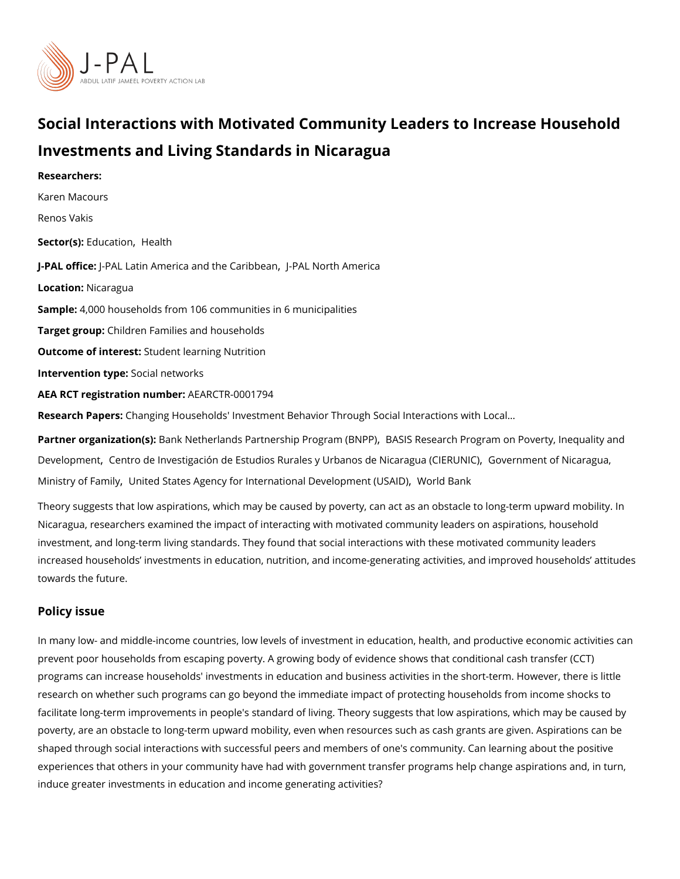# Social Interactions with Motivated Community Leaders to Ing Investments and Living Standards in Nicaragua

Researchers: [Karen Mac](https://www.povertyactionlab.org/person/macours)ours Renos Vakis Sector(EsolucatioHnealth J-PAL of tli-cPeAL Latin America and the PCA dari Not beat and merical LocatioNicaragua Samplet: 000 households from 106 communities in 6 municipalities Target gro@bildren Families and households Outcome of inteSeusdent learning Nutrition Intervention t&peial networks AEA RCT registration ArEuAnRbGeTR-0001794 Research Pa<sub>per</sub>anging Households' Investment Behavior Through Social Interactions with L Partner organizatBam(ks)Netherlands Partnership PrBoAgStaSm R(BSNePaPt) [,](https://www.povertyactionlab.org/partners/bank-netherlands-partnership-program-bnpp) Program on Poverty, Ine [Developm](https://www.povertyactionlab.org/partners/basis-research-program-poverty-inequality-and-development)[,](https://www.povertyactionlab.org/partners/centro-de-investigacion-de-estudios-rurales-y-urbanos-de-nicaragua-cierunic)eCnetntro de Investigación de Estudios Rurales y Urban,oCsov**derNi**mceamra.goríaN (CC al EaRgUu Nall

[Ministry of](https://www.povertyactionlab.org/partners/government-nicaragua-ministry-family) Falmityd States Agency for International DeVoerlid penaemk (USAID)

Theory suggests that low aspirations, which may be caused by poverty, can act as an obs Nicaragua, researchers examined the impact of interacting with motivated community lead investment, and long-term living standards. They found that social interactions with these increased households investments in education, nutrition, and income-generating activiti towards the future.

#### Policy issue

In many low- and middle-income countries, low levels of investment in education, health, prevent poor households from escaping poverty. A growing body of evidence shows that co programs can increase households' investments in education and business activities in th research on whether such programs can go beyond the immediate impact of protecting hou facilitate long-term improvements in people's standard of living. Theory suggests that low poverty, are an obstacle to long-term upward mobility, even when resources such as cash shaped through social interactions with successful peers and members of one's community experiences that others in your community have had with government transfer programs he induce greater investments in education and income generating activities?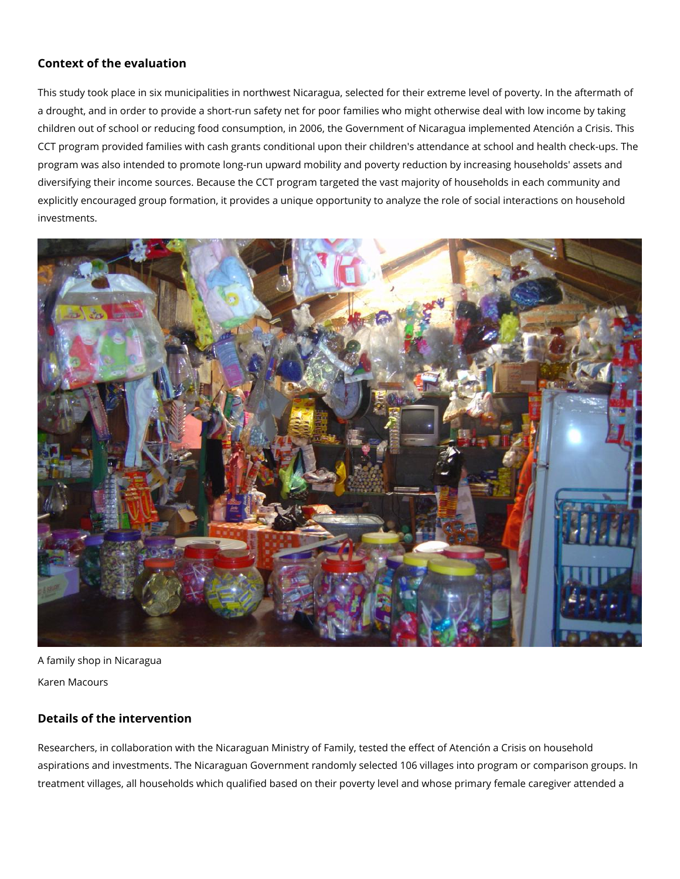## **Context of the evaluation**

This study took place in six municipalities in northwest Nicaragua, selected for their extreme level of poverty. In the aftermath of a drought, and in order to provide a short-run safety net for poor families who might otherwise deal with low income by taking children out of school or reducing food consumption, in 2006, the Government of Nicaragua implemented Atención a Crisis. This CCT program provided families with cash grants conditional upon their children's attendance at school and health check-ups. The program was also intended to promote long-run upward mobility and poverty reduction by increasing households' assets and diversifying their income sources. Because the CCT program targeted the vast majority of households in each community and explicitly encouraged group formation, it provides a unique opportunity to analyze the role of social interactions on household investments.



A family shop in Nicaragua Karen Macours

## **Details of the intervention**

Researchers, in collaboration with the Nicaraguan Ministry of Family, tested the effect of Atención a Crisis on household aspirations and investments. The Nicaraguan Government randomly selected 106 villages into program or comparison groups. In treatment villages, all households which qualified based on their poverty level and whose primary female caregiver attended a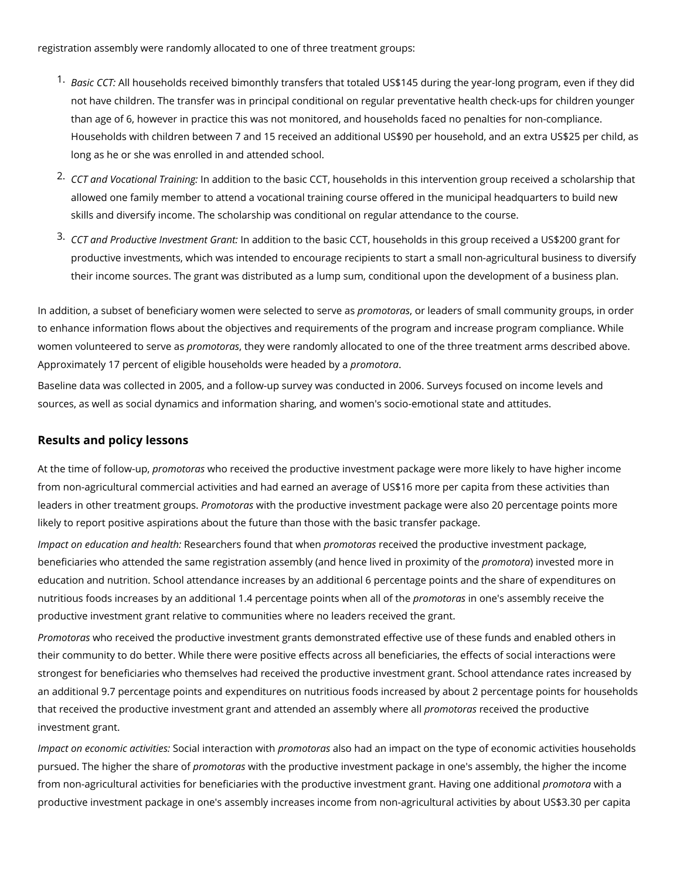registration assembly were randomly allocated to one of three treatment groups:

- 1. *Basic CCT:* All households received bimonthly transfers that totaled US\$145 during the year-long program, even if they did not have children. The transfer was in principal conditional on regular preventative health check-ups for children younger than age of 6, however in practice this was not monitored, and households faced no penalties for non-compliance. Households with children between 7 and 15 received an additional US\$90 per household, and an extra US\$25 per child, as long as he or she was enrolled in and attended school.
- 2. *CCT and Vocational Training:* In addition to the basic CCT, households in this intervention group received a scholarship that allowed one family member to attend a vocational training course offered in the municipal headquarters to build new skills and diversify income. The scholarship was conditional on regular attendance to the course.
- 3. *CCT and Productive Investment Grant:* In addition to the basic CCT, households in this group received a US\$200 grant for productive investments, which was intended to encourage recipients to start a small non-agricultural business to diversify their income sources. The grant was distributed as a lump sum, conditional upon the development of a business plan.

In addition, a subset of beneficiary women were selected to serve as *promotoras*, or leaders of small community groups, in order to enhance information flows about the objectives and requirements of the program and increase program compliance. While women volunteered to serve as *promotoras*, they were randomly allocated to one of the three treatment arms described above. Approximately 17 percent of eligible households were headed by a *promotora*.

Baseline data was collected in 2005, and a follow-up survey was conducted in 2006. Surveys focused on income levels and sources, as well as social dynamics and information sharing, and women's socio-emotional state and attitudes.

#### **Results and policy lessons**

At the time of follow-up, *promotoras* who received the productive investment package were more likely to have higher income from non-agricultural commercial activities and had earned an average of US\$16 more per capita from these activities than leaders in other treatment groups. *Promotoras* with the productive investment package were also 20 percentage points more likely to report positive aspirations about the future than those with the basic transfer package.

*Impact on education and health:* Researchers found that when *promotoras* received the productive investment package, beneficiaries who attended the same registration assembly (and hence lived in proximity of the *promotora*) invested more in education and nutrition. School attendance increases by an additional 6 percentage points and the share of expenditures on nutritious foods increases by an additional 1.4 percentage points when all of the *promotoras* in one's assembly receive the productive investment grant relative to communities where no leaders received the grant.

*Promotoras* who received the productive investment grants demonstrated effective use of these funds and enabled others in their community to do better. While there were positive effects across all beneficiaries, the effects of social interactions were strongest for beneficiaries who themselves had received the productive investment grant. School attendance rates increased by an additional 9.7 percentage points and expenditures on nutritious foods increased by about 2 percentage points for households that received the productive investment grant and attended an assembly where all *promotoras* received the productive investment grant.

*Impact on economic activities:* Social interaction with *promotoras* also had an impact on the type of economic activities households pursued. The higher the share of *promotoras* with the productive investment package in one's assembly, the higher the income from non-agricultural activities for beneficiaries with the productive investment grant. Having one additional *promotora* with a productive investment package in one's assembly increases income from non-agricultural activities by about US\$3.30 per capita